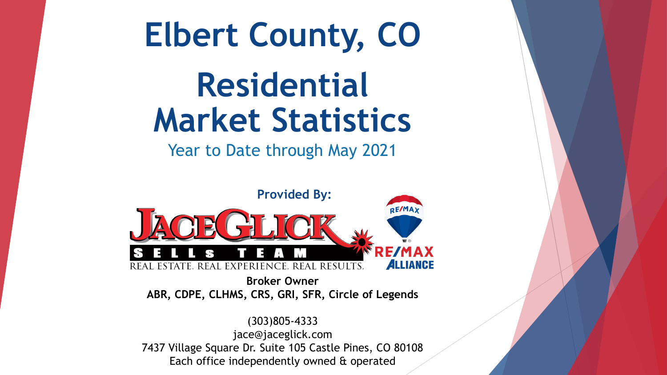

Each office independently owned & operated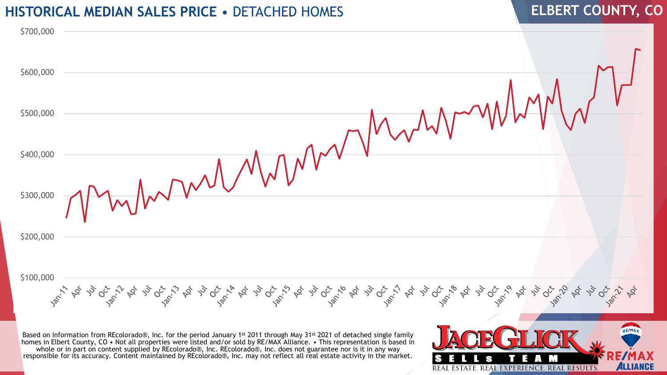## **HISTORICAL MEDIAN SALES PRICE** • DETACHED HOMES **ELBERT COUNTY, CO**



Based on information from REcolorado®, Inc. for the period January 1<sup>st</sup> 2011 through May 31<sup>st</sup> 2021 of detached single family homes in Elbert County, CO • Not all properties were listed and/or sold by RE/MAX Alliance. • This representation is based in whole or in part on content supplied by REcolorado®, Inc. REcolorado®, Inc. does not guarantee nor is it in any way responsible for its accuracy. Content maintained by REcolorado®, Inc. may not reflect all real estate activity in the market.

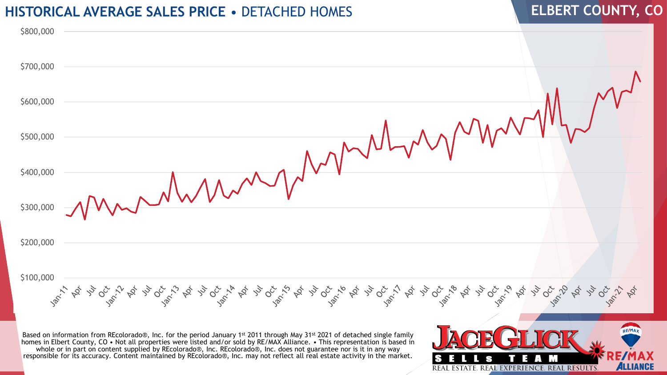#### **HISTORICAL AVERAGE SALES PRICE** • DETACHED HOMES

# **ELBERT COUNTY, CO**



Based on information from REcolorado®, Inc. for the period January 1<sup>st</sup> 2011 through May 31<sup>st</sup> 2021 of detached single family homes in Elbert County, CO • Not all properties were listed and/or sold by RE/MAX Alliance. • This representation is based in whole or in part on content supplied by REcolorado®, Inc. REcolorado®, Inc. does not guarantee nor is it in any way responsible for its accuracy. Content maintained by REcolorado®, Inc. may not reflect all real estate activity in the market.

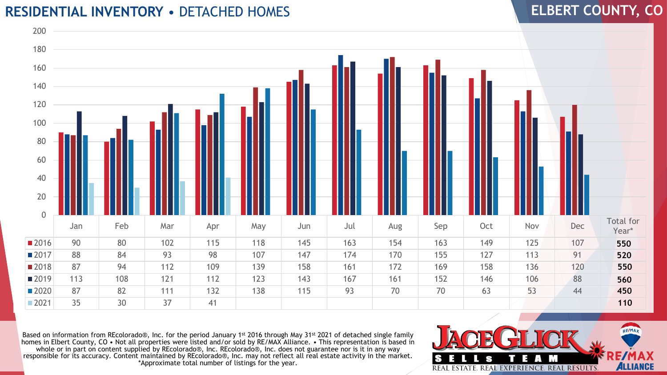### **RESIDENTIAL INVENTORY** • DETACHED HOMES

# **ELBERT COUNTY, CO**



Based on information from REcolorado®, Inc. for the period January 1<sup>st</sup> 2016 through May 31<sup>st</sup> 2021 of detached single family homes in Elbert County, CO • Not all properties were listed and/or sold by RE/MAX Alliance. • This representation is based in whole or in part on content supplied by REcolorado®, Inc. REcolorado®, Inc. does not guarantee nor is it in any way responsible for its accuracy. Content maintained by REcolorado®, Inc. may not reflect all real estate activity in the market. \*Approximate total number of listings for the year.

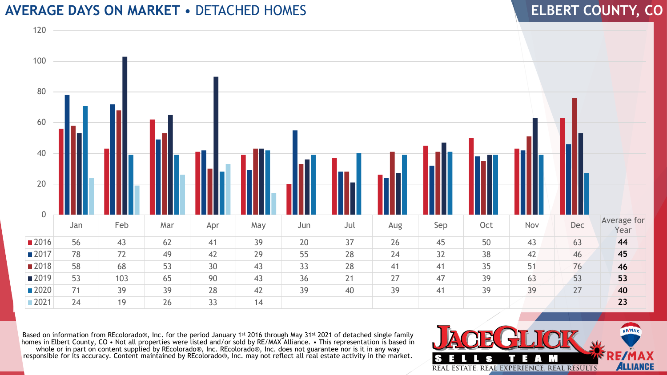## **AVERAGE DAYS ON MARKET** • DETACHED HOMES

#### Jan Feb Mar Apr May Jun Jul Aug Sep Oct Nov Dec Average for Year 56 43 62 41 39 20 37 26 45 50 43 63 78 72 49 42 29 55 28 24 32 38 42 46 58 68 53 30 43 33 28 41 41 35 51 76 53 103 65 90 43 36 21 27 47 39 63 53 71 39 39 28 42 39 40 39 41 39 39 27 24 19 26 33 14  $\Omega$

Based on information from REcolorado®, Inc. for the period January 1<sup>st</sup> 2016 through May 31<sup>st</sup> 2021 of detached single family homes in Elbert County, CO • Not all properties were listed and/or sold by RE/MAX Alliance. • This representation is based in whole or in part on content supplied by REcolorado®, Inc. REcolorado®, Inc. does not guarantee nor is it in any way responsible for its accuracy. Content maintained by REcolorado®, Inc. may not reflect all real estate activity in the market.



### **ELBERT COUNTY, CO**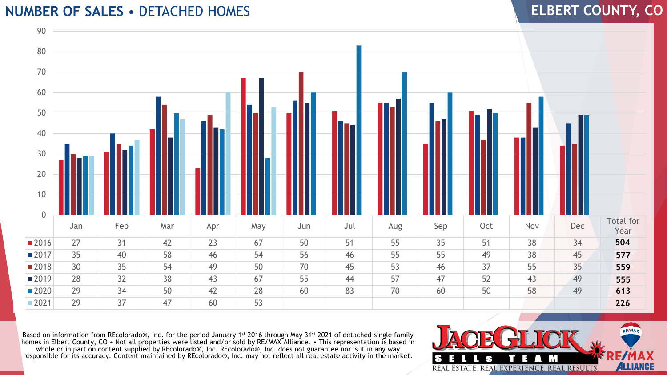## **NUMBER OF SALES** • DETACHED HOMES



Based on information from REcolorado®, Inc. for the period January 1st 2016 through May 31st 2021 of detached single family homes in Elbert County, CO • Not all properties were listed and/or sold by RE/MAX Alliance. • This representation is based in whole or in part on content supplied by REcolorado®, Inc. REcolorado®, Inc. does not guarantee nor is it in any way responsible for its accuracy. Content maintained by REcolorado®, Inc. may not reflect all real estate activity in the market.



**ELBERT COUNTY, CO**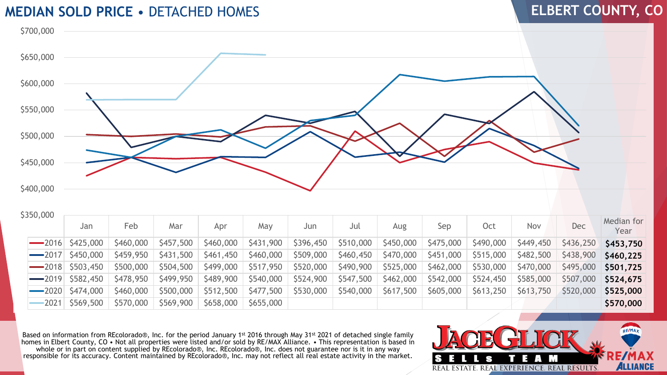#### **MEDIAN SOLD PRICE** • DETACHED HOMES

## **ELBERT COUNTY, CO**



| JJJU,UUU | Jan | Feb | Mar | Apr | May | Jun | Jul | Aug | Sep                                                                                                                                                              | Oct | Nov | Dec | Median for<br>Year |
|----------|-----|-----|-----|-----|-----|-----|-----|-----|------------------------------------------------------------------------------------------------------------------------------------------------------------------|-----|-----|-----|--------------------|
|          |     |     |     |     |     |     |     |     | ──2016 \$425,000 \$460,000 \$457,500 \$460,000 \$431,900 \$396,450 \$510,000 \$450,000 \$475,000 \$490,000 \$449,450 \$436,250 \$453,750                         |     |     |     |                    |
|          |     |     |     |     |     |     |     |     | ─2017  \$450,000   \$459,950   \$431,500   \$461,450   \$460,000   \$509,000   \$460,450   \$470,000   \$451,000   \$515,000   \$482,500   \$438,900   \$460,225 |     |     |     |                    |
|          |     |     |     |     |     |     |     |     | ──2018 \$503,450 \$500,000 \$504,500 \$499,000 \$517,950 \$520,000 \$490,900 \$525,000 \$462,000 \$530,000 \$470,000 \$495,000 \$501,725                         |     |     |     |                    |

**\$350,000** 

| JUIL                            | 1 U.U                   | $\sim$    | <b>ADI</b> | IVUV                                        | JUIL      | JUL       | Aug.      | JU P                    | ししし                     | 1 1 U Y   | レこし       | Year      |
|---------------------------------|-------------------------|-----------|------------|---------------------------------------------|-----------|-----------|-----------|-------------------------|-------------------------|-----------|-----------|-----------|
| $-2016$ \$425,000 \$460,000     |                         | \$457,500 | \$460,000  | $\vert$ \$431,900 $\vert$ \$396,450 $\vert$ |           | 5510,000  | \$450,000 | \$475,000               | \$490,000               | \$449,450 | \$436,250 | \$453,750 |
| $-2017$ \$450,000               | $\frac{1}{2}$ \$459,950 | \$431,500 | \$461,450  | \$460,000                                   | \$509,000 | \$460,450 | \$470,000 | $\frac{1}{2}$ \$451,000 | $\frac{1}{2}$ \$515,000 | \$482,500 | \$438,900 | S460.225  |
| $-2018$ \$503,450 \$500,000     |                         | \$504,500 |            | $$499,000$ $$517,950$                       | \$520,000 | \$490,900 | \$525,000 | \$462,000               | \$530,000               | \$470,000 | \$495,000 | \$501,725 |
| $-2019$ \$582,450 \$478,950     |                         | \$499,950 |            | $$489,900$ $$540,000$                       | \$524,900 | \$547,500 | \$462,000 | \$542,000               | \$524,450               | \$585,000 | \$507,000 | \$524,675 |
| $-2020$ \$474,000               | \$460,000               | \$500,000 | \$512,500  | \$477,500                                   | \$530,000 | \$540,000 | \$617,500 | \$605,000               | \$613,250               | \$613,750 | \$520,000 | \$525,000 |
| $-2021$   \$569,500   \$570,000 |                         | \$569,900 | \$658,000  | 5655,000                                    |           |           |           |                         |                         |           |           | \$570,000 |

Based on information from REcolorado®, Inc. for the period January 1st 2016 through May 31st 2021 of detached single family homes in Elbert County, CO • Not all properties were listed and/or sold by RE/MAX Alliance. • This representation is based in whole or in part on content supplied by REcolorado®, Inc. REcolorado®, Inc. does not guarantee nor is it in any way responsible for its accuracy. Content maintained by REcolorado®, Inc. may not reflect all real estate activity in the market.

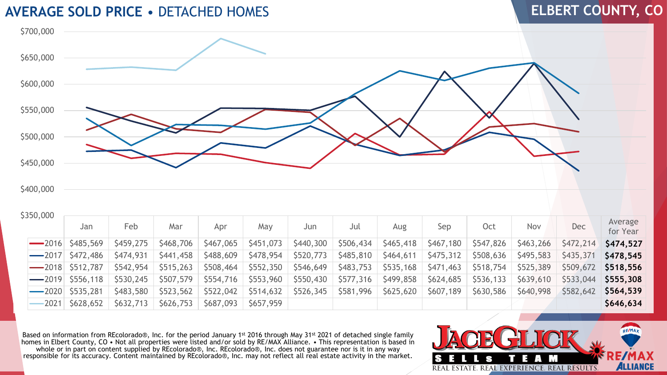### **AVERAGE SOLD PRICE** • DETACHED HOMES

## **ELBERT COUNTY, CO**



| \$350,000 |  |  |  |
|-----------|--|--|--|
|           |  |  |  |

| 350,000     | Jan                   | Feb       | Mar       | Apr       | May       | Jun       | Jul       | Aug       | Sep       | <b>Oct</b> | Nov       | <b>Dec</b> | Average<br>for Year |
|-------------|-----------------------|-----------|-----------|-----------|-----------|-----------|-----------|-----------|-----------|------------|-----------|------------|---------------------|
| $\sim$ 2016 | \$485,569             | \$459,275 | \$468,706 | \$467,065 | \$451,073 | \$440,300 | \$506,434 | \$465,418 | \$467,180 | \$547,826  | \$463,266 | \$472,214  | \$474,527           |
| $\sim$ 2017 | \$472,486             | \$474,931 | \$441,458 | \$488,609 | \$478,954 | \$520,773 | \$485,810 | \$464,611 | \$475,312 | \$508,636  | \$495,583 | \$435,371  | S478.545            |
|             | $\sim$ 2018 \$512,787 | \$542,954 | \$515,263 | \$508,464 | \$552,350 | \$546,649 | \$483,753 | \$535,168 | \$471,463 | \$518,754  | \$525,389 | \$509,672  | \$518,556           |
| $\sim$ 2019 | \$556,118             | \$530,245 | \$507,579 | \$554,716 | \$553,960 | \$550,430 | \$577,316 | \$499,858 | \$624,685 | \$536,133  | \$639,610 | \$533,044  | \$555,308           |
| $\sim$ 2020 | \$535,281             | \$483,580 | \$523,562 | \$522,042 | \$514,632 | \$526,345 | \$581,996 | \$625,620 | \$607,189 | \$630,586  | \$640,998 | \$582,642  | \$564,539           |
| $-2021$     | \$628,652             | \$632,713 | \$626,753 | \$687,093 | \$657,959 |           |           |           |           |            |           |            | \$646,634           |

Based on information from REcolorado®, Inc. for the period January 1st 2016 through May 31st 2021 of detached single family homes in Elbert County, CO • Not all properties were listed and/or sold by RE/MAX Alliance. • This representation is based in whole or in part on content supplied by REcolorado®, Inc. REcolorado®, Inc. does not guarantee nor is it in any way responsible for its accuracy. Content maintained by REcolorado®, Inc. may not reflect all real estate activity in the market.